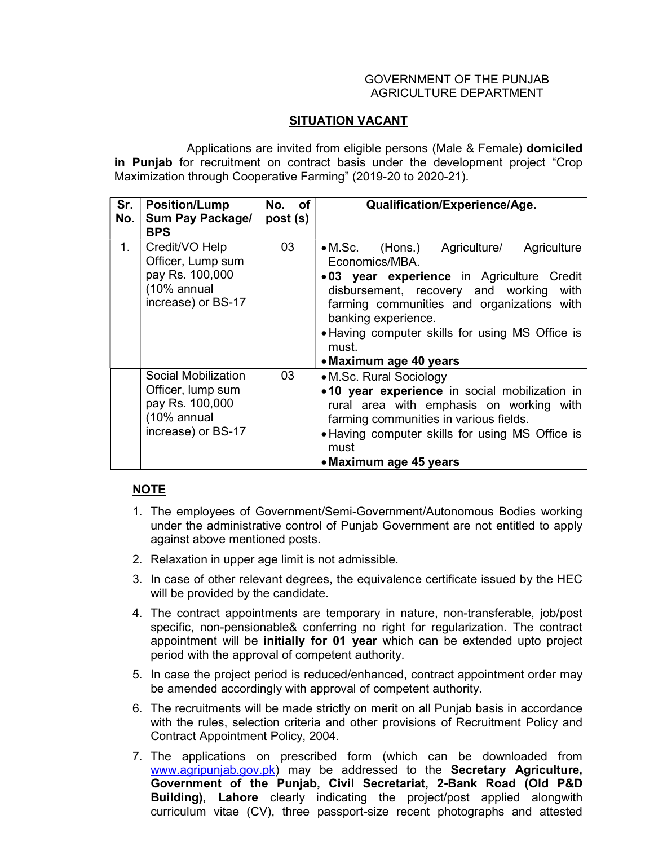## GOVERNMENT OF THE PUNJAB AGRICULTURE DEPARTMENT

## SITUATION VACANT

 Applications are invited from eligible persons (Male & Female) domiciled in Punjab for recruitment on contract basis under the development project "Crop Maximization through Cooperative Farming" (2019-20 to 2020-21).

| Sr.<br>No.     | <b>Position/Lump</b><br>Sum Pay Package/<br><b>BPS</b>                                           | No. of<br>post (s) | Qualification/Experience/Age.                                                                                                                                                                                                                                                                                       |
|----------------|--------------------------------------------------------------------------------------------------|--------------------|---------------------------------------------------------------------------------------------------------------------------------------------------------------------------------------------------------------------------------------------------------------------------------------------------------------------|
| 1 <sub>1</sub> | Credit/VO Help<br>Officer, Lump sum<br>pay Rs. 100,000<br>(10% annual<br>increase) or BS-17      | 03                 | • M.Sc. (Hons.) Agriculture/<br>Agriculture<br>Economics/MBA.<br>.03 year experience in Agriculture Credit<br>disbursement, recovery and working<br>with<br>farming communities and organizations with<br>banking experience.<br>• Having computer skills for using MS Office is<br>must.<br>• Maximum age 40 years |
|                | Social Mobilization<br>Officer, lump sum<br>pay Rs. 100,000<br>(10% annual<br>increase) or BS-17 | 03                 | • M.Sc. Rural Sociology<br>.10 year experience in social mobilization in<br>rural area with emphasis on working with<br>farming communities in various fields.<br>• Having computer skills for using MS Office is<br>must<br>• Maximum age 45 years                                                                 |

## NOTE

- 1. The employees of Government/Semi-Government/Autonomous Bodies working under the administrative control of Punjab Government are not entitled to apply against above mentioned posts.
- 2. Relaxation in upper age limit is not admissible.
- 3. In case of other relevant degrees, the equivalence certificate issued by the HEC will be provided by the candidate.
- 4. The contract appointments are temporary in nature, non-transferable, job/post specific, non-pensionable& conferring no right for regularization. The contract appointment will be initially for 01 year which can be extended upto project period with the approval of competent authority.
- 5. In case the project period is reduced/enhanced, contract appointment order may be amended accordingly with approval of competent authority.
- 6. The recruitments will be made strictly on merit on all Punjab basis in accordance with the rules, selection criteria and other provisions of Recruitment Policy and Contract Appointment Policy, 2004.
- 7. The applications on prescribed form (which can be downloaded from www.agripunjab.gov.pk) may be addressed to the Secretary Agriculture, Government of the Punjab, Civil Secretariat, 2-Bank Road (Old P&D Building), Lahore clearly indicating the project/post applied alongwith curriculum vitae (CV), three passport-size recent photographs and attested